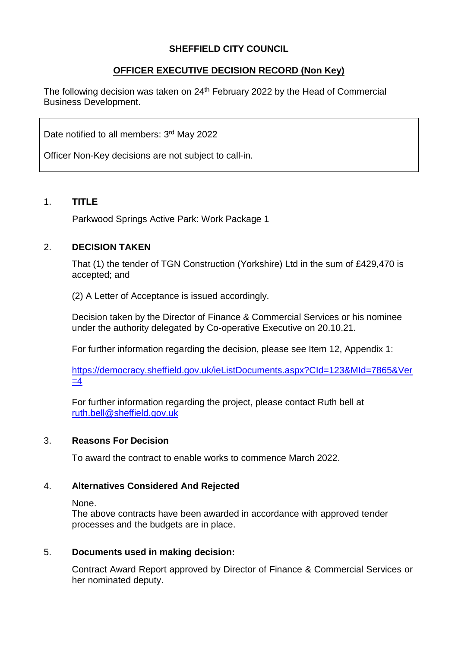## **SHEFFIELD CITY COUNCIL**

# **OFFICER EXECUTIVE DECISION RECORD (Non Key)**

The following decision was taken on 24<sup>th</sup> February 2022 by the Head of Commercial Business Development.

Date notified to all members: 3<sup>rd</sup> May 2022

Officer Non-Key decisions are not subject to call-in.

#### 1. **TITLE**

Parkwood Springs Active Park: Work Package 1

### 2. **DECISION TAKEN**

That (1) the tender of TGN Construction (Yorkshire) Ltd in the sum of £429,470 is accepted; and

(2) A Letter of Acceptance is issued accordingly.

Decision taken by the Director of Finance & Commercial Services or his nominee under the authority delegated by Co-operative Executive on 20.10.21.

For further information regarding the decision, please see Item 12, Appendix 1:

[https://democracy.sheffield.gov.uk/ieListDocuments.aspx?CId=123&MId=7865&Ver](https://democracy.sheffield.gov.uk/ieListDocuments.aspx?CId=123&MId=7865&Ver=4)  $=4$ 

For further information regarding the project, please contact Ruth bell at [ruth.bell@sheffield.gov.uk](mailto:ruth.bell@sheffield.gov.uk)

#### 3. **Reasons For Decision**

To award the contract to enable works to commence March 2022.

### 4. **Alternatives Considered And Rejected**

None.

The above contracts have been awarded in accordance with approved tender processes and the budgets are in place.

### 5. **Documents used in making decision:**

Contract Award Report approved by Director of Finance & Commercial Services or her nominated deputy.